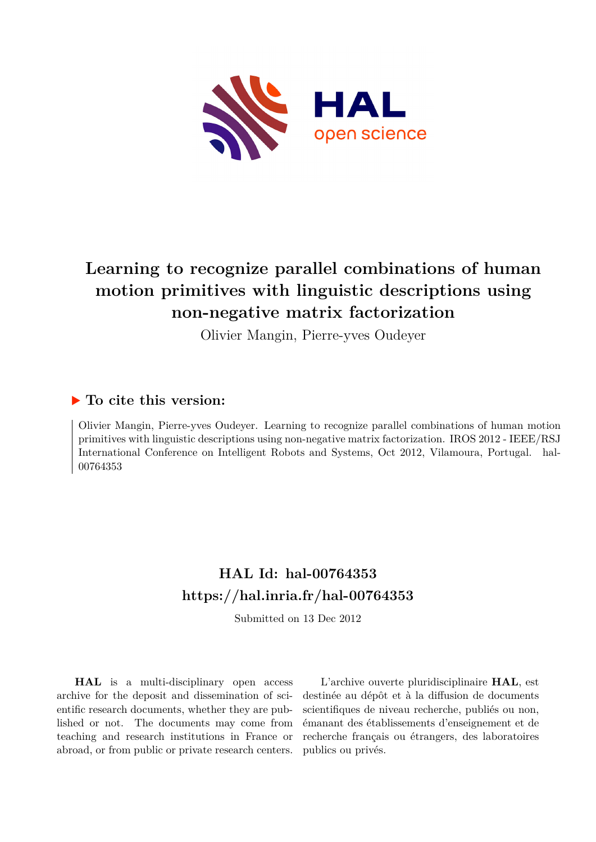

# **Learning to recognize parallel combinations of human motion primitives with linguistic descriptions using non-negative matrix factorization**

Olivier Mangin, Pierre-yves Oudeyer

# **To cite this version:**

Olivier Mangin, Pierre-yves Oudeyer. Learning to recognize parallel combinations of human motion primitives with linguistic descriptions using non-negative matrix factorization. IROS 2012 - IEEE/RSJ International Conference on Intelligent Robots and Systems, Oct 2012, Vilamoura, Portugal. hal-00764353

# **HAL Id: hal-00764353 <https://hal.inria.fr/hal-00764353>**

Submitted on 13 Dec 2012

**HAL** is a multi-disciplinary open access archive for the deposit and dissemination of scientific research documents, whether they are published or not. The documents may come from teaching and research institutions in France or abroad, or from public or private research centers.

L'archive ouverte pluridisciplinaire **HAL**, est destinée au dépôt et à la diffusion de documents scientifiques de niveau recherche, publiés ou non, émanant des établissements d'enseignement et de recherche français ou étrangers, des laboratoires publics ou privés.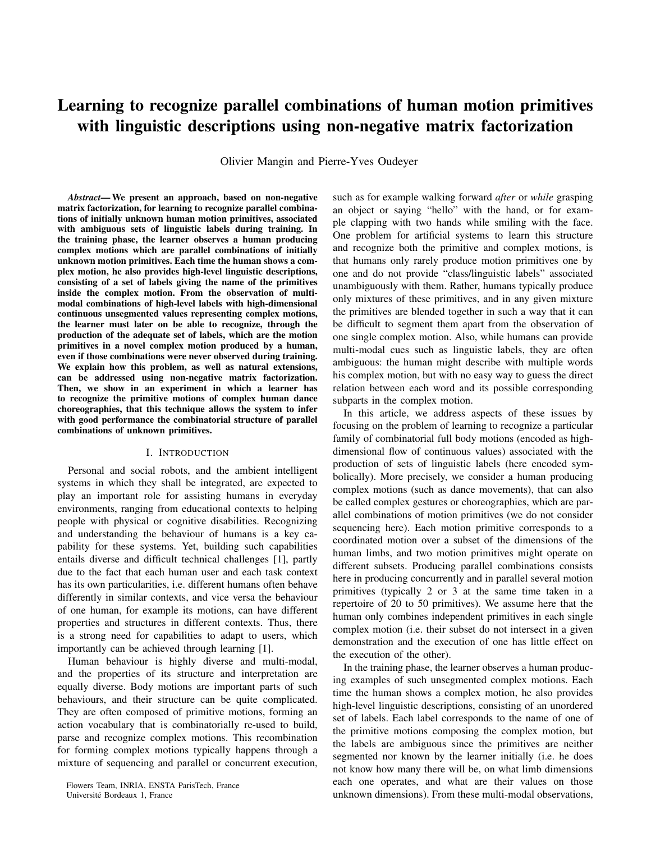# Learning to recognize parallel combinations of human motion primitives with linguistic descriptions using non-negative matrix factorization

Olivier Mangin and Pierre-Yves Oudeyer

*Abstract*— We present an approach, based on non-negative matrix factorization, for learning to recognize parallel combinations of initially unknown human motion primitives, associated with ambiguous sets of linguistic labels during training. In the training phase, the learner observes a human producing complex motions which are parallel combinations of initially unknown motion primitives. Each time the human shows a complex motion, he also provides high-level linguistic descriptions, consisting of a set of labels giving the name of the primitives inside the complex motion. From the observation of multimodal combinations of high-level labels with high-dimensional continuous unsegmented values representing complex motions, the learner must later on be able to recognize, through the production of the adequate set of labels, which are the motion primitives in a novel complex motion produced by a human, even if those combinations were never observed during training. We explain how this problem, as well as natural extensions, can be addressed using non-negative matrix factorization. Then, we show in an experiment in which a learner has to recognize the primitive motions of complex human dance choreographies, that this technique allows the system to infer with good performance the combinatorial structure of parallel combinations of unknown primitives.

### I. INTRODUCTION

Personal and social robots, and the ambient intelligent systems in which they shall be integrated, are expected to play an important role for assisting humans in everyday environments, ranging from educational contexts to helping people with physical or cognitive disabilities. Recognizing and understanding the behaviour of humans is a key capability for these systems. Yet, building such capabilities entails diverse and difficult technical challenges [1], partly due to the fact that each human user and each task context has its own particularities, i.e. different humans often behave differently in similar contexts, and vice versa the behaviour of one human, for example its motions, can have different properties and structures in different contexts. Thus, there is a strong need for capabilities to adapt to users, which importantly can be achieved through learning [1].

Human behaviour is highly diverse and multi-modal, and the properties of its structure and interpretation are equally diverse. Body motions are important parts of such behaviours, and their structure can be quite complicated. They are often composed of primitive motions, forming an action vocabulary that is combinatorially re-used to build, parse and recognize complex motions. This recombination for forming complex motions typically happens through a mixture of sequencing and parallel or concurrent execution,

such as for example walking forward *after* or *while* grasping an object or saying "hello" with the hand, or for example clapping with two hands while smiling with the face. One problem for artificial systems to learn this structure and recognize both the primitive and complex motions, is that humans only rarely produce motion primitives one by one and do not provide "class/linguistic labels" associated unambiguously with them. Rather, humans typically produce only mixtures of these primitives, and in any given mixture the primitives are blended together in such a way that it can be difficult to segment them apart from the observation of one single complex motion. Also, while humans can provide multi-modal cues such as linguistic labels, they are often ambiguous: the human might describe with multiple words his complex motion, but with no easy way to guess the direct relation between each word and its possible corresponding subparts in the complex motion.

In this article, we address aspects of these issues by focusing on the problem of learning to recognize a particular family of combinatorial full body motions (encoded as highdimensional flow of continuous values) associated with the production of sets of linguistic labels (here encoded symbolically). More precisely, we consider a human producing complex motions (such as dance movements), that can also be called complex gestures or choreographies, which are parallel combinations of motion primitives (we do not consider sequencing here). Each motion primitive corresponds to a coordinated motion over a subset of the dimensions of the human limbs, and two motion primitives might operate on different subsets. Producing parallel combinations consists here in producing concurrently and in parallel several motion primitives (typically 2 or 3 at the same time taken in a repertoire of 20 to 50 primitives). We assume here that the human only combines independent primitives in each single complex motion (i.e. their subset do not intersect in a given demonstration and the execution of one has little effect on the execution of the other).

In the training phase, the learner observes a human producing examples of such unsegmented complex motions. Each time the human shows a complex motion, he also provides high-level linguistic descriptions, consisting of an unordered set of labels. Each label corresponds to the name of one of the primitive motions composing the complex motion, but the labels are ambiguous since the primitives are neither segmented nor known by the learner initially (i.e. he does not know how many there will be, on what limb dimensions each one operates, and what are their values on those unknown dimensions). From these multi-modal observations,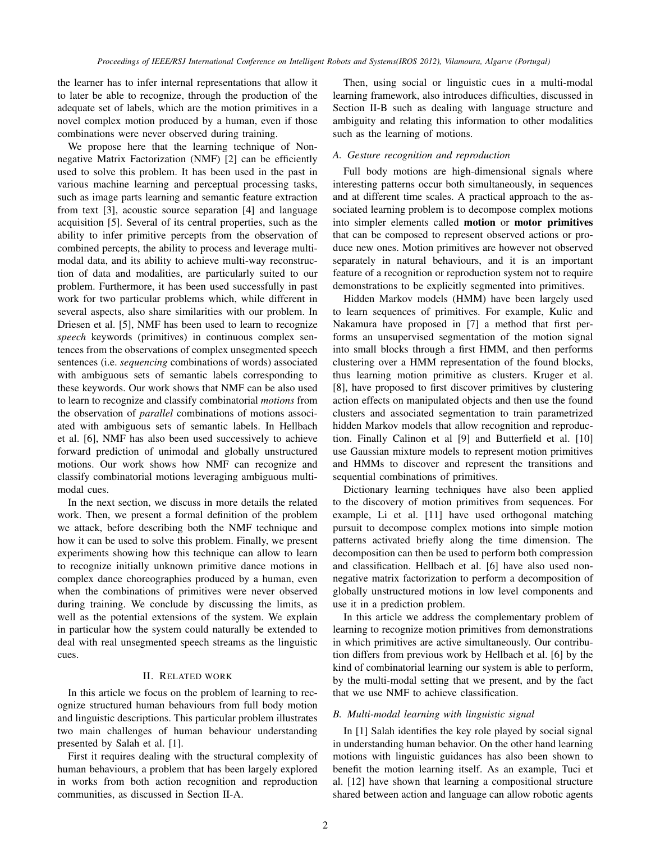the learner has to infer internal representations that allow it to later be able to recognize, through the production of the adequate set of labels, which are the motion primitives in a novel complex motion produced by a human, even if those combinations were never observed during training.

We propose here that the learning technique of Nonnegative Matrix Factorization (NMF) [2] can be efficiently used to solve this problem. It has been used in the past in various machine learning and perceptual processing tasks, such as image parts learning and semantic feature extraction from text [3], acoustic source separation [4] and language acquisition [5]. Several of its central properties, such as the ability to infer primitive percepts from the observation of combined percepts, the ability to process and leverage multimodal data, and its ability to achieve multi-way reconstruction of data and modalities, are particularly suited to our problem. Furthermore, it has been used successfully in past work for two particular problems which, while different in several aspects, also share similarities with our problem. In Driesen et al. [5], NMF has been used to learn to recognize *speech* keywords (primitives) in continuous complex sentences from the observations of complex unsegmented speech sentences (i.e. *sequencing* combinations of words) associated with ambiguous sets of semantic labels corresponding to these keywords. Our work shows that NMF can be also used to learn to recognize and classify combinatorial *motions* from the observation of *parallel* combinations of motions associated with ambiguous sets of semantic labels. In Hellbach et al. [6], NMF has also been used successively to achieve forward prediction of unimodal and globally unstructured motions. Our work shows how NMF can recognize and classify combinatorial motions leveraging ambiguous multimodal cues.

In the next section, we discuss in more details the related work. Then, we present a formal definition of the problem we attack, before describing both the NMF technique and how it can be used to solve this problem. Finally, we present experiments showing how this technique can allow to learn to recognize initially unknown primitive dance motions in complex dance choreographies produced by a human, even when the combinations of primitives were never observed during training. We conclude by discussing the limits, as well as the potential extensions of the system. We explain in particular how the system could naturally be extended to deal with real unsegmented speech streams as the linguistic cues.

### II. RELATED WORK

In this article we focus on the problem of learning to recognize structured human behaviours from full body motion and linguistic descriptions. This particular problem illustrates two main challenges of human behaviour understanding presented by Salah et al. [1].

First it requires dealing with the structural complexity of human behaviours, a problem that has been largely explored in works from both action recognition and reproduction communities, as discussed in Section II-A.

Then, using social or linguistic cues in a multi-modal learning framework, also introduces difficulties, discussed in Section II-B such as dealing with language structure and ambiguity and relating this information to other modalities such as the learning of motions.

### *A. Gesture recognition and reproduction*

Full body motions are high-dimensional signals where interesting patterns occur both simultaneously, in sequences and at different time scales. A practical approach to the associated learning problem is to decompose complex motions into simpler elements called motion or motor primitives that can be composed to represent observed actions or produce new ones. Motion primitives are however not observed separately in natural behaviours, and it is an important feature of a recognition or reproduction system not to require demonstrations to be explicitly segmented into primitives.

Hidden Markov models (HMM) have been largely used to learn sequences of primitives. For example, Kulic and Nakamura have proposed in [7] a method that first performs an unsupervised segmentation of the motion signal into small blocks through a first HMM, and then performs clustering over a HMM representation of the found blocks, thus learning motion primitive as clusters. Kruger et al. [8], have proposed to first discover primitives by clustering action effects on manipulated objects and then use the found clusters and associated segmentation to train parametrized hidden Markov models that allow recognition and reproduction. Finally Calinon et al [9] and Butterfield et al. [10] use Gaussian mixture models to represent motion primitives and HMMs to discover and represent the transitions and sequential combinations of primitives.

Dictionary learning techniques have also been applied to the discovery of motion primitives from sequences. For example, Li et al. [11] have used orthogonal matching pursuit to decompose complex motions into simple motion patterns activated briefly along the time dimension. The decomposition can then be used to perform both compression and classification. Hellbach et al. [6] have also used nonnegative matrix factorization to perform a decomposition of globally unstructured motions in low level components and use it in a prediction problem.

In this article we address the complementary problem of learning to recognize motion primitives from demonstrations in which primitives are active simultaneously. Our contribution differs from previous work by Hellbach et al. [6] by the kind of combinatorial learning our system is able to perform, by the multi-modal setting that we present, and by the fact that we use NMF to achieve classification.

# *B. Multi-modal learning with linguistic signal*

In [1] Salah identifies the key role played by social signal in understanding human behavior. On the other hand learning motions with linguistic guidances has also been shown to benefit the motion learning itself. As an example, Tuci et al. [12] have shown that learning a compositional structure shared between action and language can allow robotic agents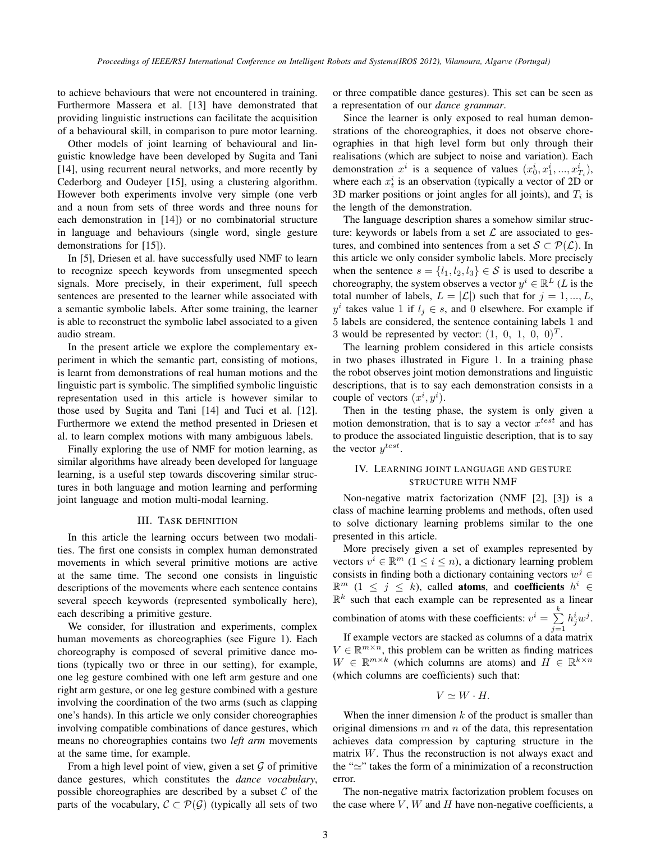to achieve behaviours that were not encountered in training. Furthermore Massera et al. [13] have demonstrated that providing linguistic instructions can facilitate the acquisition of a behavioural skill, in comparison to pure motor learning.

Other models of joint learning of behavioural and linguistic knowledge have been developed by Sugita and Tani [14], using recurrent neural networks, and more recently by Cederborg and Oudeyer [15], using a clustering algorithm. However both experiments involve very simple (one verb and a noun from sets of three words and three nouns for each demonstration in [14]) or no combinatorial structure in language and behaviours (single word, single gesture demonstrations for [15]).

In [5], Driesen et al. have successfully used NMF to learn to recognize speech keywords from unsegmented speech signals. More precisely, in their experiment, full speech sentences are presented to the learner while associated with a semantic symbolic labels. After some training, the learner is able to reconstruct the symbolic label associated to a given audio stream.

In the present article we explore the complementary experiment in which the semantic part, consisting of motions, is learnt from demonstrations of real human motions and the linguistic part is symbolic. The simplified symbolic linguistic representation used in this article is however similar to those used by Sugita and Tani [14] and Tuci et al. [12]. Furthermore we extend the method presented in Driesen et al. to learn complex motions with many ambiguous labels.

Finally exploring the use of NMF for motion learning, as similar algorithms have already been developed for language learning, is a useful step towards discovering similar structures in both language and motion learning and performing joint language and motion multi-modal learning.

## III. TASK DEFINITION

In this article the learning occurs between two modalities. The first one consists in complex human demonstrated movements in which several primitive motions are active at the same time. The second one consists in linguistic descriptions of the movements where each sentence contains several speech keywords (represented symbolically here), each describing a primitive gesture.

We consider, for illustration and experiments, complex human movements as choreographies (see Figure 1). Each choreography is composed of several primitive dance motions (typically two or three in our setting), for example, one leg gesture combined with one left arm gesture and one right arm gesture, or one leg gesture combined with a gesture involving the coordination of the two arms (such as clapping one's hands). In this article we only consider choreographies involving compatible combinations of dance gestures, which means no choreographies contains two *left arm* movements at the same time, for example.

From a high level point of view, given a set  $G$  of primitive dance gestures, which constitutes the *dance vocabulary*, possible choreographies are described by a subset  $\mathcal C$  of the parts of the vocabulary,  $C \subset \mathcal{P}(\mathcal{G})$  (typically all sets of two or three compatible dance gestures). This set can be seen as a representation of our *dance grammar*.

Since the learner is only exposed to real human demonstrations of the choreographies, it does not observe choreographies in that high level form but only through their realisations (which are subject to noise and variation). Each demonstration  $x^i$  is a sequence of values  $(x_0^i, x_1^i, ..., x_{T_i}^i)$ , where each  $x_t^i$  is an observation (typically a vector of 2D or 3D marker positions or joint angles for all joints), and  $T_i$  is the length of the demonstration.

The language description shares a somehow similar structure: keywords or labels from a set  $\mathcal L$  are associated to gestures, and combined into sentences from a set  $S \subset \mathcal{P}(\mathcal{L})$ . In this article we only consider symbolic labels. More precisely when the sentence  $s = \{l_1, l_2, l_3\} \in S$  is used to describe a choreography, the system observes a vector  $y^i \in \mathbb{R}^L$  (*L* is the total number of labels,  $L = |\mathcal{L}|$ ) such that for  $j = 1, ..., L$ ,  $y^i$  takes value 1 if  $l_j \in s$ , and 0 elsewhere. For example if 5 labels are considered, the sentence containing labels 1 and 3 would be represented by vector:  $(1, 0, 1, 0, 0)^T$ .

The learning problem considered in this article consists in two phases illustrated in Figure 1. In a training phase the robot observes joint motion demonstrations and linguistic descriptions, that is to say each demonstration consists in a couple of vectors  $(x^i, y^i)$ .

Then in the testing phase, the system is only given a motion demonstration, that is to say a vector  $x^{test}$  and has to produce the associated linguistic description, that is to say the vector  $y^{test}$ .

# IV. LEARNING JOINT LANGUAGE AND GESTURE STRUCTURE WITH NMF

Non-negative matrix factorization (NMF [2], [3]) is a class of machine learning problems and methods, often used to solve dictionary learning problems similar to the one presented in this article.

More precisely given a set of examples represented by vectors  $v^i \in \mathbb{R}^m$   $(1 \le i \le n)$ , a dictionary learning problem consists in finding both a dictionary containing vectors  $w^j \in$  $\mathbb{R}^m$  (1  $\leq j \leq k$ ), called **atoms**, and **coefficients**  $h^i \in$  $\mathbb{R}^k$  such that each example can be represented as a linear combination of atoms with these coefficients:  $v^i = \sum^k$  $j=1$  $h^i_jw^j.$ 

If example vectors are stacked as columns of a data matrix  $V \in \mathbb{R}^{m \times n}$ , this problem can be written as finding matrices  $W \in \mathbb{R}^{m \times k}$  (which columns are atoms) and  $H \in \mathbb{R}^{k \times n}$ (which columns are coefficients) such that:

$$
V\simeq W\cdot H.
$$

When the inner dimension  $k$  of the product is smaller than original dimensions  $m$  and  $n$  of the data, this representation achieves data compression by capturing structure in the matrix W. Thus the reconstruction is not always exact and the " $\simeq$ " takes the form of a minimization of a reconstruction error.

The non-negative matrix factorization problem focuses on the case where  $V$ ,  $W$  and  $H$  have non-negative coefficients, a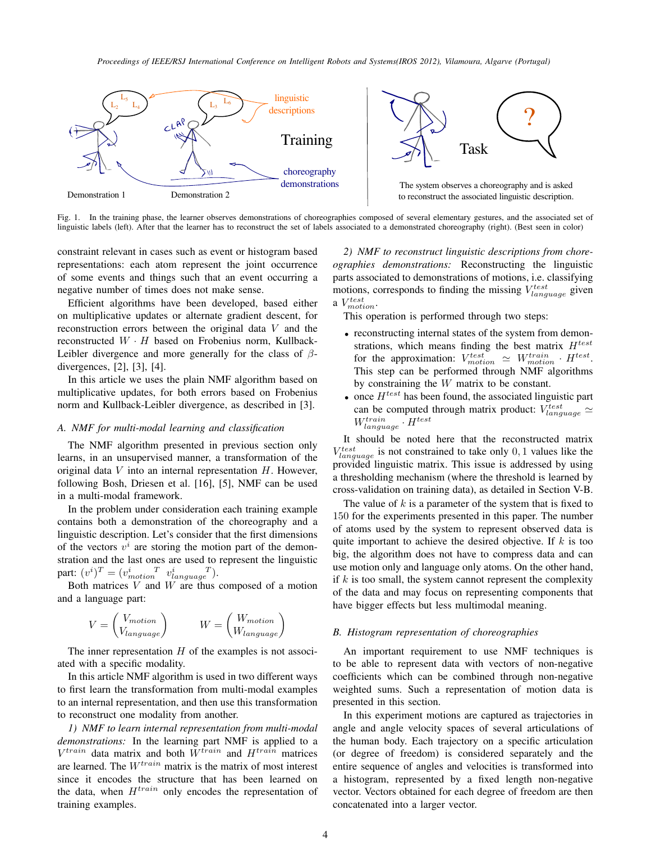

Fig. 1. In the training phase, the learner observes demonstrations of choreographies composed of several elementary gestures, and the associated set of linguistic labels (left). After that the learner has to reconstruct the set of labels associated to a demonstrated choreography (right). (Best seen in color)

constraint relevant in cases such as event or histogram based representations: each atom represent the joint occurrence of some events and things such that an event occurring a negative number of times does not make sense.

Efficient algorithms have been developed, based either on multiplicative updates or alternate gradient descent, for reconstruction errors between the original data V and the reconstructed  $W \cdot H$  based on Frobenius norm, Kullback-Leibler divergence and more generally for the class of  $\beta$ divergences, [2], [3], [4].

In this article we uses the plain NMF algorithm based on multiplicative updates, for both errors based on Frobenius norm and Kullback-Leibler divergence, as described in [3].

#### *A. NMF for multi-modal learning and classification*

The NMF algorithm presented in previous section only learns, in an unsupervised manner, a transformation of the original data  $V$  into an internal representation  $H$ . However, following Bosh, Driesen et al. [16], [5], NMF can be used in a multi-modal framework.

In the problem under consideration each training example contains both a demonstration of the choreography and a linguistic description. Let's consider that the first dimensions of the vectors  $v^i$  are storing the motion part of the demonstration and the last ones are used to represent the linguistic part:  $(v^i)^T = (v_{motion}^i{}^T \t v_{language}^i{}^T).$ 

Both matrices  $V$  and  $W$  are thus composed of a motion and a language part:

$$
V = \begin{pmatrix} V_{motion} \\ V_{language} \end{pmatrix} \qquad \qquad W = \begin{pmatrix} W_{motion} \\ W_{language} \end{pmatrix}
$$

The inner representation  $H$  of the examples is not associated with a specific modality.

In this article NMF algorithm is used in two different ways to first learn the transformation from multi-modal examples to an internal representation, and then use this transformation to reconstruct one modality from another.

*1) NMF to learn internal representation from multi-modal demonstrations:* In the learning part NMF is applied to a  $V^{train}$  data matrix and both  $W^{train}$  and  $H^{train}$  matrices are learned. The  $W^{train}$  matrix is the matrix of most interest since it encodes the structure that has been learned on the data, when  $H^{train}$  only encodes the representation of training examples.

*2) NMF to reconstruct linguistic descriptions from choreographies demonstrations:* Reconstructing the linguistic parts associated to demonstrations of motions, i.e. classifying motions, corresponds to finding the missing  $V_{language}^{test}$  given a V test motion.

This operation is performed through two steps:

- reconstructing internal states of the system from demonstrations, which means finding the best matrix  $H<sup>test</sup>$ for the approximation:  $V_{motion}^{test} \simeq W_{motion}^{train} \cdot H^{test}$ . This step can be performed through NMF algorithms by constraining the W matrix to be constant.
- $\bullet$  once  $H^{test}$  has been found, the associated linguistic part can be computed through matrix product:  $V_{language}^{test} \simeq$  $W^{train}_{language} \cdot H^{test}$

It should be noted here that the reconstructed matrix  $V_{language}^{test}$  is not constrained to take only 0, 1 values like the provided linguistic matrix. This issue is addressed by using a thresholding mechanism (where the threshold is learned by cross-validation on training data), as detailed in Section V-B.

The value of  $k$  is a parameter of the system that is fixed to 150 for the experiments presented in this paper. The number of atoms used by the system to represent observed data is quite important to achieve the desired objective. If  $k$  is too big, the algorithm does not have to compress data and can use motion only and language only atoms. On the other hand, if  $k$  is too small, the system cannot represent the complexity of the data and may focus on representing components that have bigger effects but less multimodal meaning.

#### *B. Histogram representation of choreographies*

An important requirement to use NMF techniques is to be able to represent data with vectors of non-negative coefficients which can be combined through non-negative weighted sums. Such a representation of motion data is presented in this section.

In this experiment motions are captured as trajectories in angle and angle velocity spaces of several articulations of the human body. Each trajectory on a specific articulation (or degree of freedom) is considered separately and the entire sequence of angles and velocities is transformed into a histogram, represented by a fixed length non-negative vector. Vectors obtained for each degree of freedom are then concatenated into a larger vector.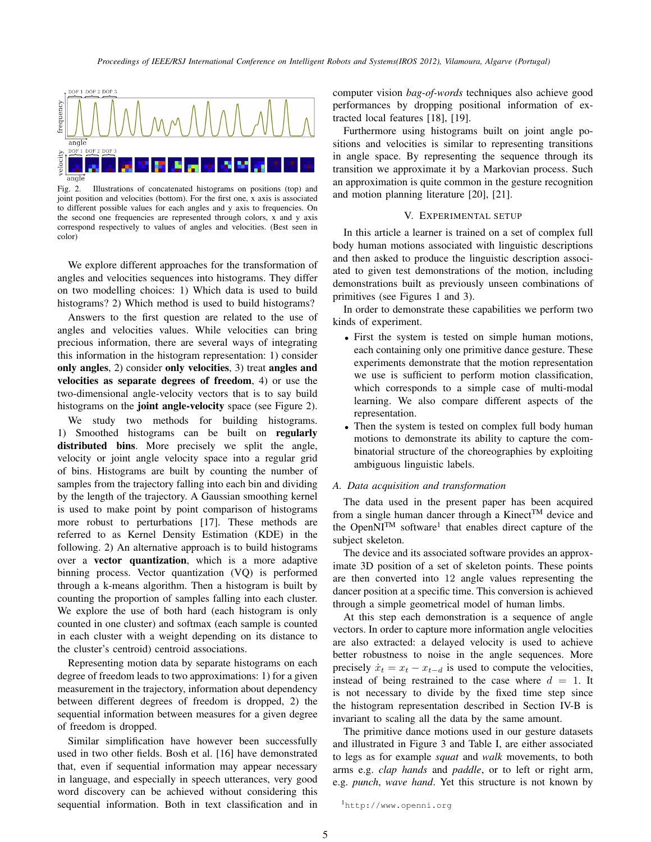

Fig. 2. Illustrations of concatenated histograms on positions (top) and joint position and velocities (bottom). For the first one, x axis is associated to different possible values for each angles and y axis to frequencies. On the second one frequencies are represented through colors, x and y axis correspond respectively to values of angles and velocities. (Best seen in color)

We explore different approaches for the transformation of angles and velocities sequences into histograms. They differ on two modelling choices: 1) Which data is used to build histograms? 2) Which method is used to build histograms?

Answers to the first question are related to the use of angles and velocities values. While velocities can bring precious information, there are several ways of integrating this information in the histogram representation: 1) consider only angles, 2) consider only velocities, 3) treat angles and velocities as separate degrees of freedom, 4) or use the two-dimensional angle-velocity vectors that is to say build histograms on the **joint angle-velocity** space (see Figure 2).

We study two methods for building histograms. 1) Smoothed histograms can be built on regularly distributed bins. More precisely we split the angle, velocity or joint angle velocity space into a regular grid of bins. Histograms are built by counting the number of samples from the trajectory falling into each bin and dividing by the length of the trajectory. A Gaussian smoothing kernel is used to make point by point comparison of histograms more robust to perturbations [17]. These methods are referred to as Kernel Density Estimation (KDE) in the following. 2) An alternative approach is to build histograms over a vector quantization, which is a more adaptive binning process. Vector quantization (VQ) is performed through a k-means algorithm. Then a histogram is built by counting the proportion of samples falling into each cluster. We explore the use of both hard (each histogram is only counted in one cluster) and softmax (each sample is counted in each cluster with a weight depending on its distance to the cluster's centroid) centroid associations.

Representing motion data by separate histograms on each degree of freedom leads to two approximations: 1) for a given measurement in the trajectory, information about dependency between different degrees of freedom is dropped, 2) the sequential information between measures for a given degree of freedom is dropped.

Similar simplification have however been successfully used in two other fields. Bosh et al. [16] have demonstrated that, even if sequential information may appear necessary in language, and especially in speech utterances, very good word discovery can be achieved without considering this sequential information. Both in text classification and in computer vision *bag-of-words* techniques also achieve good performances by dropping positional information of extracted local features [18], [19].

Furthermore using histograms built on joint angle positions and velocities is similar to representing transitions in angle space. By representing the sequence through its transition we approximate it by a Markovian process. Such an approximation is quite common in the gesture recognition and motion planning literature [20], [21].

# V. EXPERIMENTAL SETUP

In this article a learner is trained on a set of complex full body human motions associated with linguistic descriptions and then asked to produce the linguistic description associated to given test demonstrations of the motion, including demonstrations built as previously unseen combinations of primitives (see Figures 1 and 3).

In order to demonstrate these capabilities we perform two kinds of experiment.

- First the system is tested on simple human motions, each containing only one primitive dance gesture. These experiments demonstrate that the motion representation we use is sufficient to perform motion classification, which corresponds to a simple case of multi-modal learning. We also compare different aspects of the representation.
- Then the system is tested on complex full body human motions to demonstrate its ability to capture the combinatorial structure of the choreographies by exploiting ambiguous linguistic labels.

#### *A. Data acquisition and transformation*

The data used in the present paper has been acquired from a single human dancer through a Kinect<sup>TM</sup> device and the OpenNI<sup>TM</sup> software<sup>1</sup> that enables direct capture of the subject skeleton.

The device and its associated software provides an approximate 3D position of a set of skeleton points. These points are then converted into 12 angle values representing the dancer position at a specific time. This conversion is achieved through a simple geometrical model of human limbs.

At this step each demonstration is a sequence of angle vectors. In order to capture more information angle velocities are also extracted: a delayed velocity is used to achieve better robustness to noise in the angle sequences. More precisely  $\dot{x}_t = x_t - x_{t-d}$  is used to compute the velocities, instead of being restrained to the case where  $d = 1$ . It is not necessary to divide by the fixed time step since the histogram representation described in Section IV-B is invariant to scaling all the data by the same amount.

The primitive dance motions used in our gesture datasets and illustrated in Figure 3 and Table I, are either associated to legs as for example *squat* and *walk* movements, to both arms e.g. *clap hands* and *paddle*, or to left or right arm, e.g. *punch*, *wave hand*. Yet this structure is not known by

<sup>1</sup><http://www.openni.org>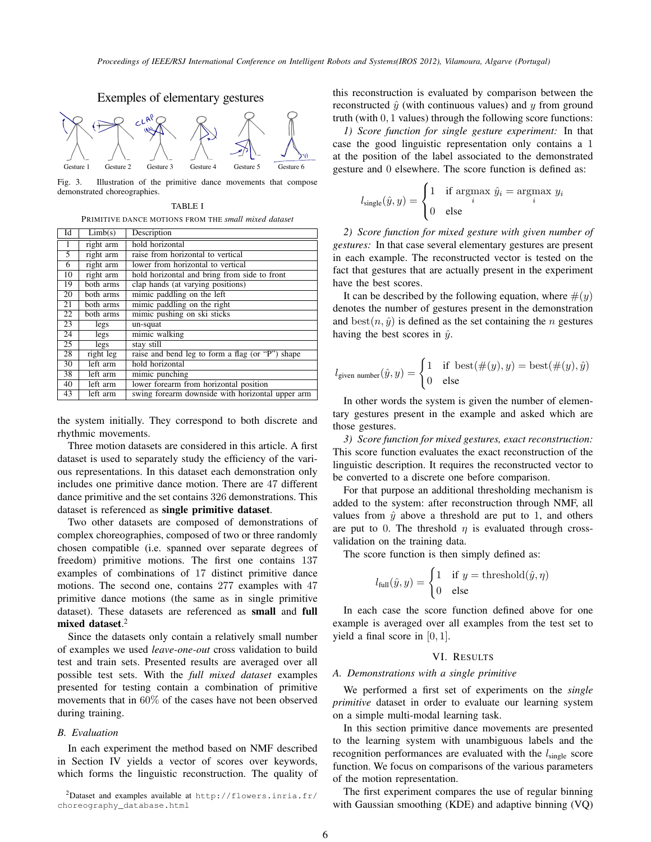

Fig. 3. Illustration of the primitive dance movements that compose demonstrated choreographies.

TABLE I

PRIMITIVE DANCE MOTIONS FROM THE *small mixed dataset*

| Id              | Limb(s)   | Description                                      |  |
|-----------------|-----------|--------------------------------------------------|--|
| 1               | right arm | hold horizontal                                  |  |
| 5               | right arm | raise from horizontal to vertical                |  |
| 6               | right arm | lower from horizontal to vertical                |  |
| 10              | right arm | hold horizontal and bring from side to front     |  |
| 19              | both arms | clap hands (at varying positions)                |  |
| 20              | both arms | mimic paddling on the left                       |  |
| 21              | both arms | mimic paddling on the right                      |  |
| $\overline{22}$ | both arms | mimic pushing on ski sticks                      |  |
| 23              | legs      | un-squat                                         |  |
| $\overline{24}$ | legs      | mimic walking                                    |  |
| $\overline{25}$ | legs      | stay still                                       |  |
| 28              | right leg | raise and bend leg to form a flag (or "P") shape |  |
| 30              | left arm  | hold horizontal                                  |  |
| 38              | left arm  | mimic punching                                   |  |
| 40              | left arm  | lower forearm from horizontal position           |  |
| 43              | left arm  | swing forearm downside with horizontal upper arm |  |

the system initially. They correspond to both discrete and rhythmic movements.

Three motion datasets are considered in this article. A first dataset is used to separately study the efficiency of the various representations. In this dataset each demonstration only includes one primitive dance motion. There are 47 different dance primitive and the set contains 326 demonstrations. This dataset is referenced as single primitive dataset.

Two other datasets are composed of demonstrations of complex choreographies, composed of two or three randomly chosen compatible (i.e. spanned over separate degrees of freedom) primitive motions. The first one contains 137 examples of combinations of 17 distinct primitive dance motions. The second one, contains 277 examples with 47 primitive dance motions (the same as in single primitive dataset). These datasets are referenced as small and full mixed dataset. 2

Since the datasets only contain a relatively small number of examples we used *leave-one-out* cross validation to build test and train sets. Presented results are averaged over all possible test sets. With the *full mixed dataset* examples presented for testing contain a combination of primitive movements that in 60% of the cases have not been observed during training.

## *B. Evaluation*

In each experiment the method based on NMF described in Section IV yields a vector of scores over keywords, which forms the linguistic reconstruction. The quality of

<sup>2</sup>Dataset and examples available at [http://flowers.inria.fr/](http://flowers.inria.fr/choreography_database.html) [choreography\\_database.html](http://flowers.inria.fr/choreography_database.html)

this reconstruction is evaluated by comparison between the reconstructed  $\hat{y}$  (with continuous values) and y from ground truth (with 0, 1 values) through the following score functions:

*1) Score function for single gesture experiment:* In that case the good linguistic representation only contains a 1 at the position of the label associated to the demonstrated gesture and 0 elsewhere. The score function is defined as:

$$
l_{\text{single}}(\hat{y}, y) = \begin{cases} 1 & \text{if } \operatorname*{argmax}_{i} \ \hat{y}_i = \operatorname*{argmax}_{i} \ y_i \\ 0 & \text{else} \end{cases}
$$

*2) Score function for mixed gesture with given number of gestures:* In that case several elementary gestures are present in each example. The reconstructed vector is tested on the fact that gestures that are actually present in the experiment have the best scores.

It can be described by the following equation, where  $\#(y)$ denotes the number of gestures present in the demonstration and  $best(n, \hat{y})$  is defined as the set containing the *n* gestures having the best scores in  $\hat{y}$ .

$$
l_{\text{given number}}(\hat{y}, y) = \begin{cases} 1 & \text{if } \text{best}(\#(y), y) = \text{best}(\#(y), \hat{y}) \\ 0 & \text{else} \end{cases}
$$

In other words the system is given the number of elementary gestures present in the example and asked which are those gestures.

*3) Score function for mixed gestures, exact reconstruction:* This score function evaluates the exact reconstruction of the linguistic description. It requires the reconstructed vector to be converted to a discrete one before comparison.

For that purpose an additional thresholding mechanism is added to the system: after reconstruction through NMF, all values from  $\hat{y}$  above a threshold are put to 1, and others are put to 0. The threshold  $\eta$  is evaluated through crossvalidation on the training data.

The score function is then simply defined as:

$$
l_{\text{full}}(\hat{y}, y) = \begin{cases} 1 & \text{if } y = \text{threshold}(\hat{y}, \eta) \\ 0 & \text{else} \end{cases}
$$

In each case the score function defined above for one example is averaged over all examples from the test set to yield a final score in  $[0, 1]$ .

#### VI. RESULTS

#### *A. Demonstrations with a single primitive*

We performed a first set of experiments on the *single primitive* dataset in order to evaluate our learning system on a simple multi-modal learning task.

In this section primitive dance movements are presented to the learning system with unambiguous labels and the recognition performances are evaluated with the  $l_{\text{single}}$  score function. We focus on comparisons of the various parameters of the motion representation.

The first experiment compares the use of regular binning with Gaussian smoothing (KDE) and adaptive binning (VQ)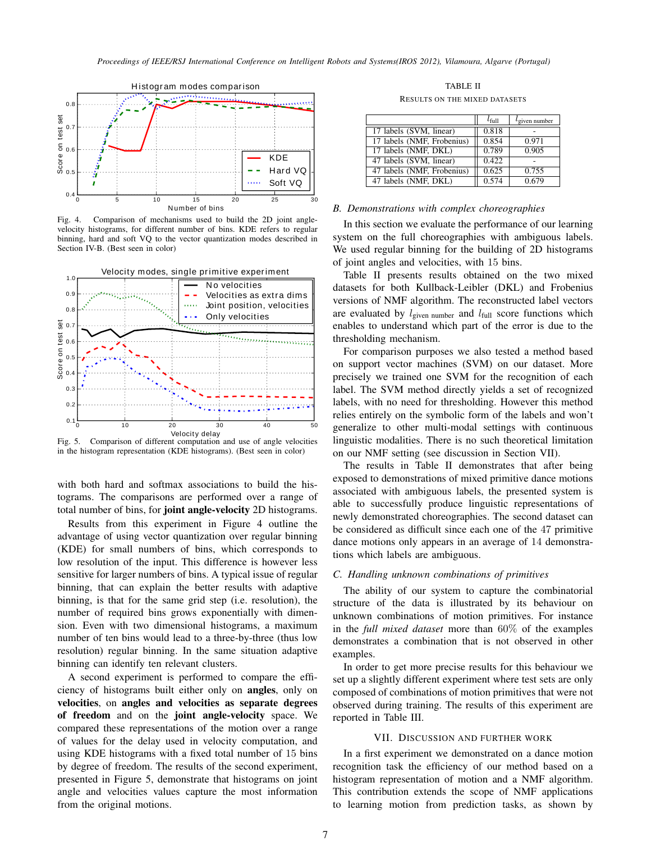

Fig. 4. Comparison of mechanisms used to build the 2D joint anglevelocity histograms, for different number of bins. KDE refers to regular binning, hard and soft VQ to the vector quantization modes described in Section IV-B. (Best seen in color)



Fig. 5. Comparison of different computation and use of angle velocities in the histogram representation (KDE histograms). (Best seen in color)

with both hard and softmax associations to build the histograms. The comparisons are performed over a range of total number of bins, for joint angle-velocity 2D histograms.

Results from this experiment in Figure 4 outline the advantage of using vector quantization over regular binning (KDE) for small numbers of bins, which corresponds to low resolution of the input. This difference is however less sensitive for larger numbers of bins. A typical issue of regular binning, that can explain the better results with adaptive binning, is that for the same grid step (i.e. resolution), the number of required bins grows exponentially with dimension. Even with two dimensional histograms, a maximum number of ten bins would lead to a three-by-three (thus low resolution) regular binning. In the same situation adaptive binning can identify ten relevant clusters.

A second experiment is performed to compare the efficiency of histograms built either only on angles, only on velocities, on angles and velocities as separate degrees of freedom and on the joint angle-velocity space. We compared these representations of the motion over a range of values for the delay used in velocity computation, and using KDE histograms with a fixed total number of 15 bins by degree of freedom. The results of the second experiment, presented in Figure 5, demonstrate that histograms on joint angle and velocities values capture the most information from the original motions.

TABLE II RESULTS ON THE MIXED DATASETS

|                            | $t_{\text{full}}$ | $l_{\text{given number}}$ |
|----------------------------|-------------------|---------------------------|
| 17 labels (SVM, linear)    | 0.818             |                           |
| 17 labels (NMF, Frobenius) | 0.854             | 0.971                     |
| 17 labels (NMF, DKL)       | 0.789             | 0.905                     |
| 47 labels (SVM, linear)    | 0.422             |                           |
| 47 labels (NMF, Frobenius) | 0.625             | 0.755                     |
| 47 labels (NMF, DKL)       | 0.574             | 0.679                     |

#### *B. Demonstrations with complex choreographies*

In this section we evaluate the performance of our learning system on the full choreographies with ambiguous labels. We used regular binning for the building of 2D histograms of joint angles and velocities, with 15 bins.

Table II presents results obtained on the two mixed datasets for both Kullback-Leibler (DKL) and Frobenius versions of NMF algorithm. The reconstructed label vectors are evaluated by  $l_{\text{given number}}$  and  $l_{\text{full}}$  score functions which enables to understand which part of the error is due to the thresholding mechanism.

For comparison purposes we also tested a method based on support vector machines (SVM) on our dataset. More precisely we trained one SVM for the recognition of each label. The SVM method directly yields a set of recognized labels, with no need for thresholding. However this method relies entirely on the symbolic form of the labels and won't generalize to other multi-modal settings with continuous linguistic modalities. There is no such theoretical limitation on our NMF setting (see discussion in Section VII).

The results in Table II demonstrates that after being exposed to demonstrations of mixed primitive dance motions associated with ambiguous labels, the presented system is able to successfully produce linguistic representations of newly demonstrated choreographies. The second dataset can be considered as difficult since each one of the 47 primitive dance motions only appears in an average of 14 demonstrations which labels are ambiguous.

#### *C. Handling unknown combinations of primitives*

The ability of our system to capture the combinatorial structure of the data is illustrated by its behaviour on unknown combinations of motion primitives. For instance in the *full mixed dataset* more than 60% of the examples demonstrates a combination that is not observed in other examples.

In order to get more precise results for this behaviour we set up a slightly different experiment where test sets are only composed of combinations of motion primitives that were not observed during training. The results of this experiment are reported in Table III.

# VII. DISCUSSION AND FURTHER WORK

In a first experiment we demonstrated on a dance motion recognition task the efficiency of our method based on a histogram representation of motion and a NMF algorithm. This contribution extends the scope of NMF applications to learning motion from prediction tasks, as shown by